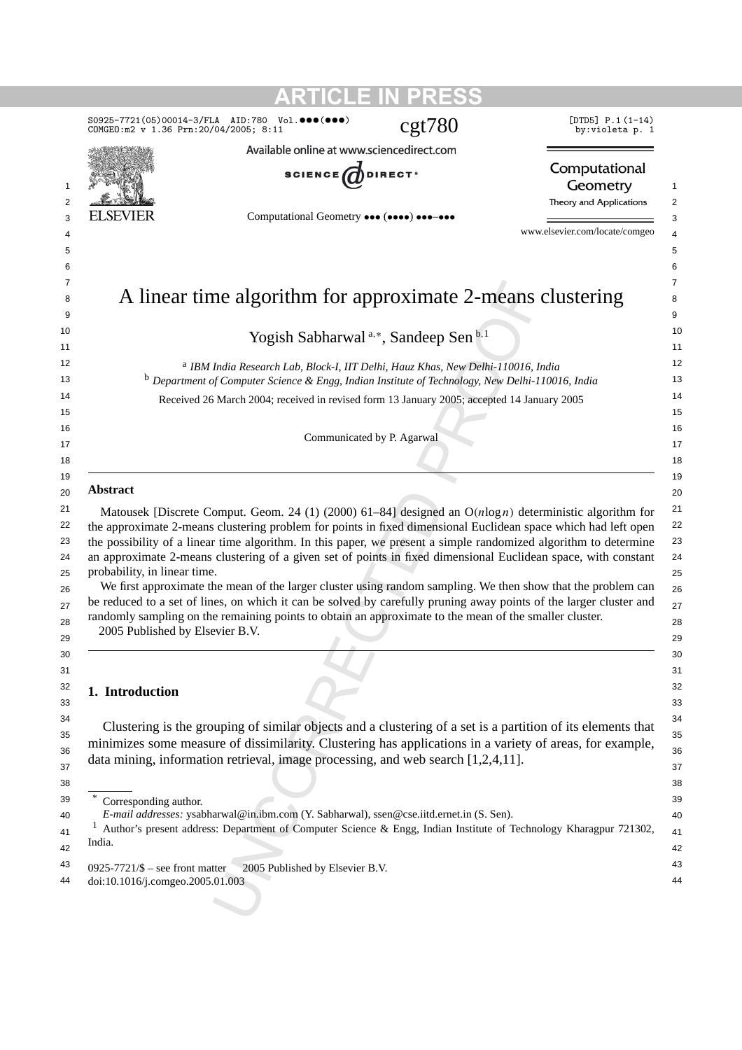| COMGEO:m2 v 1.36 Prn:20/04/2005; 8:11                                                                   | S0925-7721(05)00014-3/FLA AID:780 Vol.000(000)                                                                                                                                                                                                                                                                                                                                                                                                                                                                                                                                     | cgt780                     | [DTD5] $P.1(1-14)$<br>by: violeta p. 1                    |
|---------------------------------------------------------------------------------------------------------|------------------------------------------------------------------------------------------------------------------------------------------------------------------------------------------------------------------------------------------------------------------------------------------------------------------------------------------------------------------------------------------------------------------------------------------------------------------------------------------------------------------------------------------------------------------------------------|----------------------------|-----------------------------------------------------------|
|                                                                                                         | Available online at www.sciencedirect.com<br>SCIENCE <sup>O</sup>                                                                                                                                                                                                                                                                                                                                                                                                                                                                                                                  | <b>DIRECT</b> <sup>*</sup> | Computational<br>Geometry                                 |
| <b>ELSEVIER</b>                                                                                         | Computational Geometry $\bullet \bullet \bullet (\bullet \bullet \bullet) \bullet \bullet \bullet \bullet \bullet \bullet$                                                                                                                                                                                                                                                                                                                                                                                                                                                         |                            | Theory and Applications<br>www.elsevier.com/locate/comgeo |
|                                                                                                         | A linear time algorithm for approximate 2-means clustering                                                                                                                                                                                                                                                                                                                                                                                                                                                                                                                         |                            |                                                           |
|                                                                                                         | Yogish Sabharwal <sup>a,*</sup> , Sandeep Sen <sup>b,1</sup>                                                                                                                                                                                                                                                                                                                                                                                                                                                                                                                       |                            |                                                           |
|                                                                                                         | <sup>a</sup> IBM India Research Lab, Block-I, IIT Delhi, Hauz Khas, New Delhi-110016, India<br><sup>b</sup> Department of Computer Science & Engg, Indian Institute of Technology, New Delhi-110016, India                                                                                                                                                                                                                                                                                                                                                                         |                            |                                                           |
|                                                                                                         | Received 26 March 2004; received in revised form 13 January 2005; accepted 14 January 2005                                                                                                                                                                                                                                                                                                                                                                                                                                                                                         |                            |                                                           |
|                                                                                                         | Communicated by P. Agarwal                                                                                                                                                                                                                                                                                                                                                                                                                                                                                                                                                         |                            |                                                           |
|                                                                                                         | Matousek [Discrete Comput. Geom. 24 (1) (2000) 61–84] designed an $O(n \log n)$ deterministic algorithm for<br>the approximate 2-means clustering problem for points in fixed dimensional Euclidean space which had left open                                                                                                                                                                                                                                                                                                                                                      |                            |                                                           |
|                                                                                                         | the possibility of a linear time algorithm. In this paper, we present a simple randomized algorithm to determine<br>an approximate 2-means clustering of a given set of points in fixed dimensional Euclidean space, with constant<br>We first approximate the mean of the larger cluster using random sampling. We then show that the problem can<br>be reduced to a set of lines, on which it can be solved by carefully pruning away points of the larger cluster and<br>randomly sampling on the remaining points to obtain an approximate to the mean of the smaller cluster. |                            |                                                           |
|                                                                                                         |                                                                                                                                                                                                                                                                                                                                                                                                                                                                                                                                                                                    |                            |                                                           |
| <b>Abstract</b><br>probability, in linear time.<br>© 2005 Published by Elsevier B.V.<br>1. Introduction |                                                                                                                                                                                                                                                                                                                                                                                                                                                                                                                                                                                    |                            |                                                           |
|                                                                                                         | Clustering is the grouping of similar objects and a clustering of a set is a partition of its elements that<br>minimizes some measure of dissimilarity. Clustering has applications in a variety of areas, for example,<br>data mining, information retrieval, image processing, and web search [1,2,4,11].                                                                                                                                                                                                                                                                        |                            |                                                           |
| Corresponding author.<br>India.                                                                         | E-mail addresses: ysabharwal@in.ibm.com (Y. Sabharwal), ssen@cse.iitd.ernet.in (S. Sen).<br>Author's present address: Department of Computer Science & Engg, Indian Institute of Technology Kharagpur 721302,                                                                                                                                                                                                                                                                                                                                                                      |                            |                                                           |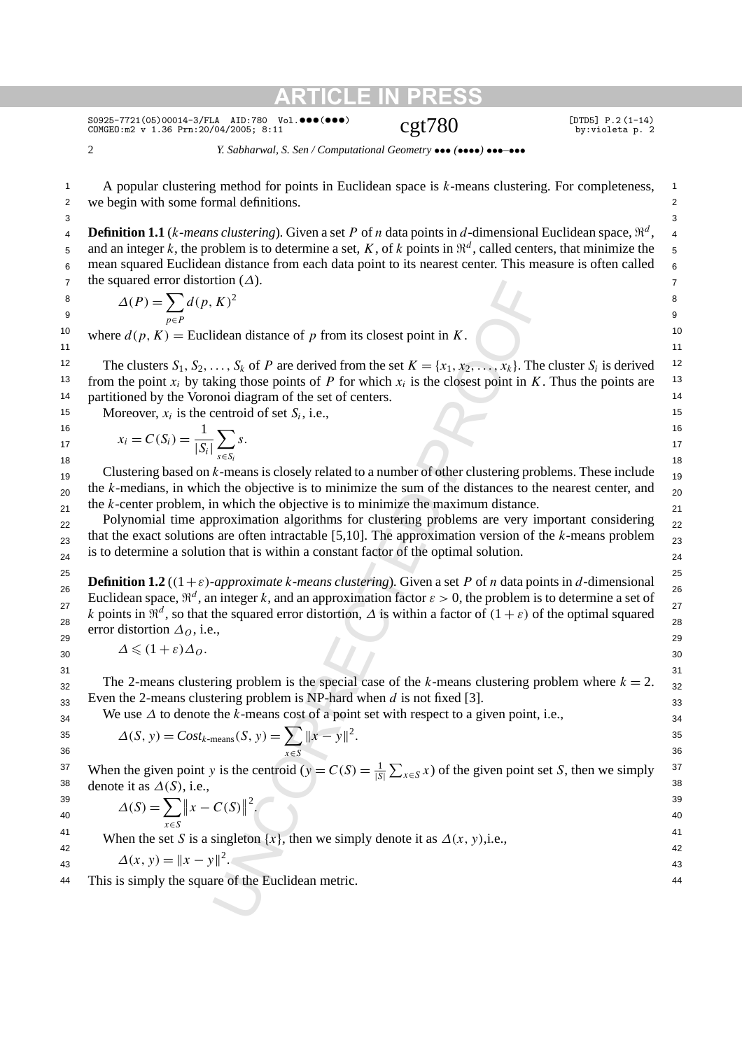S0925-7721(05)00014-3/FLA AID:780 Vol.•••(•••) cgt $780$  [DTD5] P.2(1-14)<br>COMGEO:m2 v 1.36 Prn:20/04/2005; 8:11 cgt780 by:violeta p. 2

2 *Y. Sabharwal, S. Sen / Computational Geometry* ••• *(*••••*)* •••*–*•••

<sup>1</sup> A popular clustering method for points in Euclidean space is *k*-means clustering. For completeness, <sup>1</sup> 2 we begin with some formal definitions.

 $3<sup>3</sup>$ **Definition 1.1** (*k*-means clustering). Given a set P of *n* data points in *d*-dimensional Euclidean space,  $\mathfrak{R}^d$ , 4 5 and an integer *k*, the problem is to determine a set, *K*, of *k* points in  $\mathbb{R}^d$ , called centers, that minimize the  $6<sub>6</sub>$  mean squared Euclidean distance from each data point to its nearest center. This measure is often called  $<sub>6</sub>$ </sub>  $\tau$  the squared error distortion ( $\Delta$ ).

$$
\Delta(P) = \sum_{p \in P} d(p, K)^2
$$

<sup>10</sup> where  $d(p, K)$  = Euclidean distance of *p* from its closest point in *K*.

12 The clusters  $S_1, S_2, \ldots, S_k$  of *P* are derived from the set  $K = \{x_1, x_2, \ldots, x_k\}$ . The cluster  $S_i$  is derived 12 13 from the point  $x_i$  by taking those points of *P* for which  $x_i$  is the closest point in *K*. Thus the points are 13 14 14 partitioned by the Voronoi diagram of the set of centers.

15 Moreover,  $x_i$  is the centroid of set  $S_i$ , i.e.,

$$
16 \t\t x_i = C(S_i) = \frac{1}{|S_i|} \sum_{s \in S_i} s.
$$

 $\delta S_i$  18 19 Clustering based on *k*-means is closely related to a number of other clustering problems. These include  $_{20}$  the *k*-medians, in which the objective is to minimize the sum of the distances to the nearest center, and  $_{20}$ the *k*-center problem, in which the objective is to minimize the maximum distance.

22 Polynomial time approximation algorithms for clustering problems are very important considering 22 that the exact solutions are often intractable [5,10]. The approximation version of the  $k$ -means problem  $_{23}$ <sub>24</sub> is to determine a solution that is within a constant factor of the optimal solution.

Learn distance of p from its closest point in K.<br>  $K$ )<sup>2</sup><br>
idean distance of p from its closest point in K.<br>  $\therefore$  S<sub>k</sub> of P are derived from the set  $K = \{x_1, x_2, ..., x_k\}$ . The<br>
king those points of P for which  $x_i$  is the **Definition 1.2** ((1+*ε*)*-approximate k-means clustering*). Given a set *P* of *n* data points in *d*-dimensional  $\frac{25}{26}$ 26 **26** Euclidean space,  $\mathfrak{R}^d$ , an integer *k*, and an approximation factor  $\varepsilon > 0$ , the problem is to determine a set of  $27 - 27$ *k* points in  $\mathbb{R}^d$ , so that the squared error distortion,  $\Delta$  is within a factor of  $(1 + \varepsilon)$  of the optimal squared  $\frac{2\pi}{28}$  $29$  29 error distortion  $\Delta_{\theta}$ , i.e.,

$$
30 \qquad \Delta \leqslant (1+\varepsilon)\Delta_0. \tag{30}
$$

 $31$  $32$  The 2-means clustering problem is the special case of the *k*-means clustering problem where  $k = 2$ . Even the 2-means clustering problem is NP-hard when  $d$  is not fixed [3].

We use  $\Delta$  to denote the *k*-means cost of a point set with respect to a given point, i.e.,

35 
$$
\Delta(S, y) = Cost_{k\text{-means}}(S, y) = \sum_{x \in S} ||x - y||^2.
$$
36

When the given point *y* is the centroid ( $y = C(S) = \frac{1}{|S|} \sum_{x \in S} x$ ) of the given point set *S*, then we simply  $38$  denote it as  $\Delta(S)$ , i.e.,

$$
\Delta(S) = \sum_{x \in S} \|x - C(S)\|^2.
$$

41 When the set *S* is a singleton {*x*}, then we simply denote it as  $\Delta(x, y)$ , i.e.,

42  
43 
$$
\Delta(x, y) = ||x - y||^2
$$
.

<sup>44</sup> This is simply the square of the Euclidean metric.

11  $\blacksquare$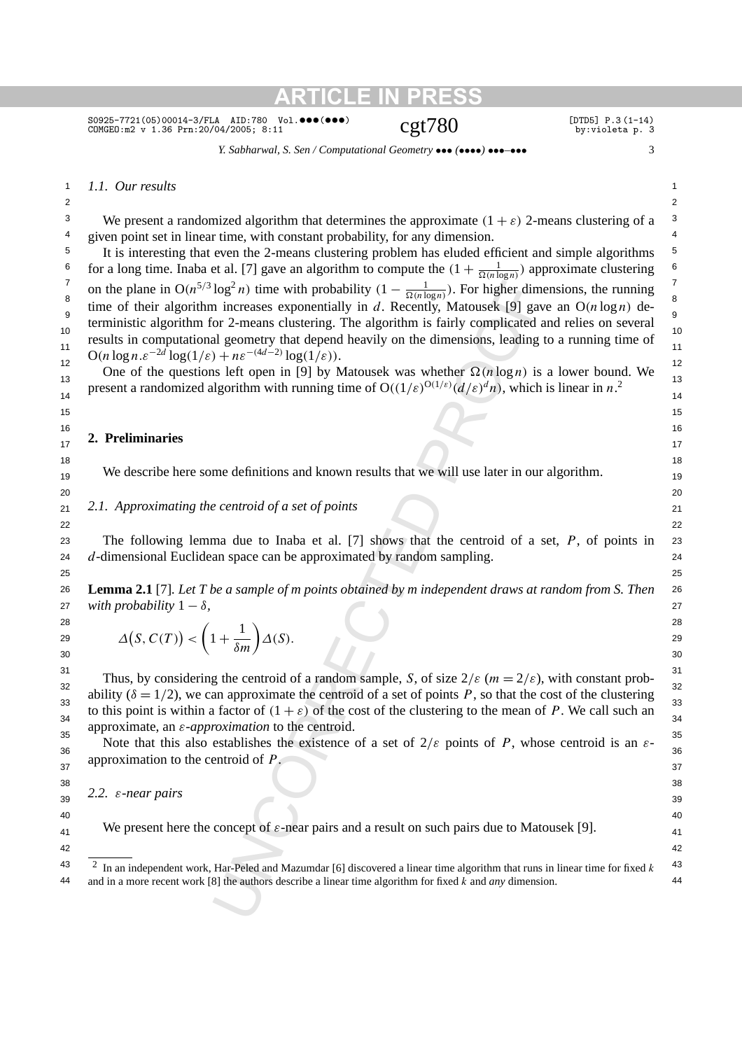*Y. Sabharwal, S. Sen / Computational Geometry* ••• *(*••••*)* •••*–*••• 3

#### 1 1 *1.1. Our results*

<sup>3</sup> We present a randomized algorithm that determines the approximate  $(1 + \varepsilon)$  2-means clustering of a <sup>3</sup> <sup>4</sup> given point set in linear time, with constant probability, for any dimension.

log<sup>2</sup>*n*) time with probability  $(1 - \frac{1}{\Omega(\log p)})$ . For higher dim<br>
in increases exponentially in d. Recently, Matousek [9] gan<br>
in creases exponentially in d. Recently, Matousek [9] gan<br>
in  $\alpha$  2-means clustering. The al <sup>5</sup> It is interesting that even the 2-means clustering problem has eluded efficient and simple algorithms <sup>5</sup> <sup>6</sup> for a long time. Inaba et al. [7] gave an algorithm to compute the  $(1 + \frac{1}{\Omega(n \log n)})$  approximate clustering <sup>6</sup>  $\frac{7}{2}$  reaches the  $\alpha$  (5/31, 2) time with each differ (1)  $\frac{1}{2}$ . Furthermore, the wave  $\frac{7}{2}$ on the plane in  $O(n^{5/3} \log^2 n)$  time with probability  $(1 - \frac{1}{\Omega(n \log n)})$ . For higher dimensions, the running  $\frac{1}{8}$ <sup>9</sup> terministic algorithm for 2-means clustering. The algorithm is fairly complicated and relies on several 10<br>results in computational geometry that depend heavily on the dimensions, leading to a running time of 11  $O(n \log n \cdot \varepsilon^{-2d} \log(1/\varepsilon) + n\varepsilon^{-(4d-2)} \log(1/\varepsilon)).$ time of their algorithm increases exponentially in *d*. Recently, Matousek [9] gave an  $O(n \log n)$  de-

12 One of the questions left open in [9] by Matousek was whether  $\Omega(n \log n)$  is a lower bound. We 13  $13$  13 present a randomized algorithm with running time of  $O((1/\varepsilon)^{O(1/\varepsilon)}(d/\varepsilon)^d n)$ , which is linear in  $n^2$  14

#### $16$  $\frac{17}{17}$  2. The minimum restricts to  $\frac{17}{17}$ **2. Preliminaries**

19 19 We describe here some definitions and known results that we will use later in our algorithm.

#### 21 21 *2.1. Approximating the centroid of a set of points*

23 23 The following lemma due to Inaba et al. [7] shows that the centroid of a set, *P*, of points in 24 24 *d*-dimensional Euclidean space can be approximated by random sampling.

26 26 **Lemma 2.1** [7]*. Let T be a sample of m points obtained by m independent draws at random from S. Then*  $27$  *with probability*  $1 - \delta$ ,  $27$ 

$$
\Delta(S, C(T)) < \left(1 + \frac{1}{\delta m}\right) \Delta(S).
$$
\n<sup>28</sup>  
\n30  $\Delta(S, C(T)) < \left(1 + \frac{1}{\delta m}\right) \Delta(S).$ 

Thus, by considering the centroid of a random sample, *S*, of size  $2/\varepsilon$  ( $m = 2/\varepsilon$ ), with constant prob- $\frac{32}{22}$  ability ( $\delta = 1/2$ ), we can approximate the centroid of a set of points *P*, so that the cost of the clustering to this point is within a factor of  $(1 + \varepsilon)$  of the cost of the clustering to the mean of *P*. We call such an 34 34 approximate, an *ε*-*approximation* to the centroid.

 $\frac{35}{25}$   $\frac{1}{11}$   $\frac{1}{11}$   $\frac{1}{11}$   $\frac{1}{11}$   $\frac{1}{11}$   $\frac{1}{11}$   $\frac{1}{11}$   $\frac{1}{11}$   $\frac{1}{11}$   $\frac{1}{11}$   $\frac{1}{11}$   $\frac{1}{11}$   $\frac{1}{11}$   $\frac{1}{11}$   $\frac{1}{11}$   $\frac{1}{11}$   $\frac{1}{11}$   $\frac{1}{11}$   $\frac{1}{11}$  Note that this also establishes the existence of a set of  $2/\varepsilon$  points of *P*, whose centroid is an  $\varepsilon$ -<br>36 37 37 approximation to the centroid of *P*.

38 38  $39 \t2.2 \t6.0 \t4.7 \t3.9$ *2.2. ε-near pairs*

40 40 We present here the concept of  $\varepsilon$ -near pairs and a result on such pairs due to Matousek [9].

43 43 <sup>2</sup> In an independent work, Har-Peled and Mazumdar [6] discovered a linear time algorithm that runs in linear time for fixed *k* 44 44 and in a more recent work [8] the authors describe a linear time algorithm for fixed *k* and *any* dimension.

42 42

2  $\sim$  2  $15$  15 18 18 20 20 22 22  $25$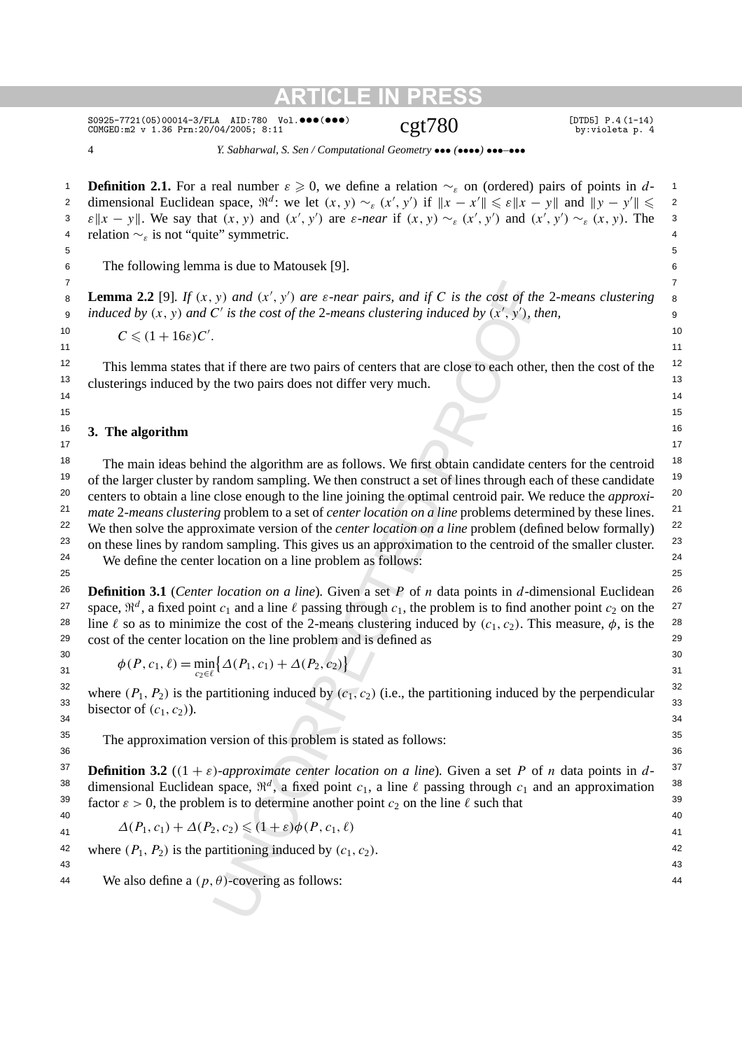SO925-7721(O5)00014-3/FLA AID:780 Vol.•••(•••) cgt $780$  [DTD5] P.4(1-14)<br>COMGEO:m2 v 1.36 Prn:20/04/2005; 8:11 cgt780 by:violeta p. 4

4 *Y. Sabharwal, S. Sen / Computational Geometry* ••• *(*••••*)* •••*–*•••

**1 Definition 2.1.** For a real number  $\varepsilon \ge 0$ , we define a relation  $\sim_{\varepsilon}$  on (ordered) pairs of points in *dz* dimensional Euclidean space,  $\Re^d$ : we let  $(x, y) \sim_\varepsilon (x', y')$  if  $||x - x'|| \leq \varepsilon ||x - y||$  and  $||y - y'|| \leq 2$  $s \in ||x - y||$ . We say that  $(x, y)$  and  $(x', y')$  are  $\varepsilon$ -near if  $(x, y) \sim_{\varepsilon} (x', y')$  and  $(x', y') \sim_{\varepsilon} (x, y)$ . The 4 relation  $\sim_{\varepsilon}$  is not "quite" symmetric.

 $5$ 

6 6 The following lemma is due to Matousek [9].

7 7 **Lemma 2.2** [9]. If  $(x, y)$  and  $(x', y')$  are  $\varepsilon$ -near pairs, and if C is the cost of the 2-means clustering  $\infty$ 9 *induced by*  $(x, y)$  *and*  $C'$  *is the cost of the* 2*-means clustering induced by*  $(x', y')$ *, then,* 

 $C \leqslant (1 + 16\varepsilon)C'$ .

<sup>12</sup> This lemma states that if there are two pairs of centers that are close to each other, then the cost of the <sup>12</sup> <sup>13</sup> clusterings induced by the two pairs does not differ very much.<sup>13</sup>  $14$   $14$ 

 $15$  15

 $17$  and  $17$  and  $17$  and  $17$  and  $17$  and  $17$  and  $17$  and  $17$  and  $17$  and  $17$ 

11  $\blacksquare$ 

#### 16 16 **3. The algorithm**

y) and  $(x', y')$  are  $\varepsilon$ -near pairs, and if C is the cost of the<br>C' is the cost of the 2-means clustering induced by  $(x', y')$ , th<br>C' is the cost of the 2-means clustering induced by  $(x', y')$ , th<br>is that if there are two pairs <sup>18</sup> The main ideas behind the algorithm are as follows. We first obtain candidate centers for the centroid<sup>18</sup> <sup>19</sup> of the larger cluster by random sampling. We then construct a set of lines through each of these candidate <sup>19</sup> <sup>20</sup> centers to obtain a line close enough to the line joining the optimal centroid pair. We reduce the *approxi*-<br><sup>20</sup> <sup>21</sup> *mate* 2-means clustering problem to a set of *center location on a line* problems determined by these lines. <sup>21</sup> <sup>22</sup> We then solve the approximate version of the *center location on a line* problem (defined below formally) <sup>22</sup> <sup>23</sup> on these lines by random sampling. This gives us an approximation to the centroid of the smaller cluster. <sup>23</sup> <sup>24</sup> We define the center location on a line problem as follows: <sup>24</sup>

26 26 **Definition 3.1** (*Center location on a line*)*.* Given a set *P* of *n* data points in *d*-dimensional Euclidean <sup>27</sup> space,  $\mathfrak{R}^d$ , a fixed point  $c_1$  and a line  $\ell$  passing through  $c_1$ , the problem is to find another point  $c_2$  on the <sup>27</sup> 28 line  $\ell$  so as to minimize the cost of the 2-means clustering induced by  $(c_1, c_2)$ . This measure,  $\phi$ , is the 28 29 29 cost of the center location on the line problem and is defined as

 $25$ 

$$
\phi(P, c_1, \ell) = \min_{c_2 \in \ell} \{ \Delta(P_1, c_1) + \Delta(P_2, c_2) \}
$$
\n<sup>30</sup>

 $32$  denote  $P$ ,  $P$ ) is the existence index of  $P$ where  $(P_1, P_2)$  is the partitioning induced by  $(c_1, c_2)$  (i.e., the partitioning induced by the perpendicular  $\frac{32}{33}$  $34$   $34$ bisector of  $(c_1, c_2)$ ).

<sup>35</sup> The approximation version of this problem is stated as follows: <sup>35</sup>

**Definition 3.2** ( $(1 + \varepsilon)$ *-approximate center location on a line*). Given a set *P* of *n* data points in *d*-<sup>38</sup> dimensional Euclidean space,  $\mathfrak{R}^d$ , a fixed point  $c_1$ , a line  $\ell$  passing through  $c_1$  and an approximation <sup>38</sup>  $39$  factor  $\varepsilon > 0$ , the problem is to determine another point  $c_2$  on the line  $\ell$  such that

43 43

36 36

40  
41  
42  

$$
\Delta(P_1, c_1) + \Delta(P_2, c_2) \leq (1+\varepsilon)\phi(P, c_1, \ell)
$$
44

42 where  $(P_1, P_2)$  is the partitioning induced by  $(c_1, c_2)$ .

44 We also define a  $(p, \theta)$ -covering as follows: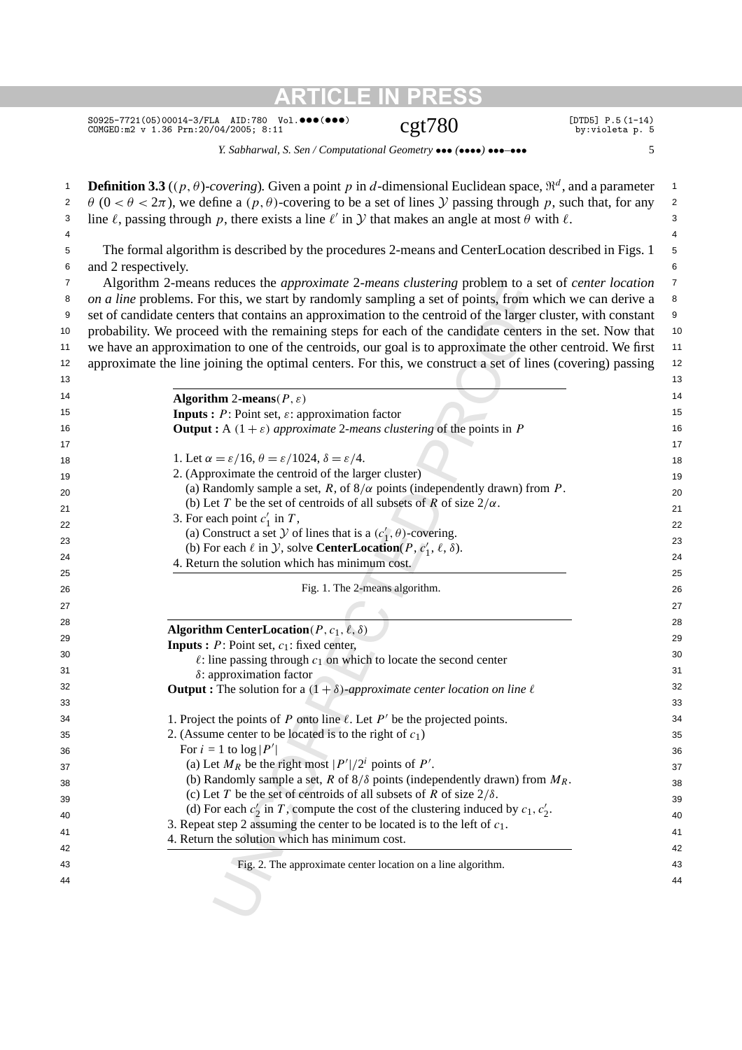SO925-7721(O5)00014-3/FLA AID:780 Vol.•••(•••) cgt780 by:violeta p. 5 (1-14)

*Y. Sabharwal, S. Sen / Computational Geometry* ••• *(*••••*)* •••*–*••• 5

reduces the *approximate* 2-means clustering problem to a s<br>
re this, we start by randomly sampling a set of points, from w<br>
this, we start by randomly sampling a set of points, from w<br>
that contains an approximation to t **1 Definition 3.3** ((p,  $\theta$ )*-covering*). Given a point p in d-dimensional Euclidean space,  $\mathbb{R}^d$ , and a parameter 1  $θ$  (0 <  $θ$  < 2π), we define a (p,  $θ$ )-covering to be a set of lines Y passing through p, such that, for any <sup>2</sup> 3 line  $\ell$ , passing through *p*, there exists a line  $\ell'$  in  $\mathcal Y$  that makes an angle at most  $\theta$  with  $\ell$ . 4 4 5 5 The formal algorithm is described by the procedures 2-means and CenterLocation described in Figs. 1 6 6 and 2 respectively. 7 7 Algorithm 2-means reduces the *approximate* 2*-means clustering* problem to a set of *center location* 8 8 *on a line* problems. For this, we start by randomly sampling a set of points, from which we can derive a 9 set of candidate centers that contains an approximation to the centroid of the larger cluster, with constant 9 10 10 probability. We proceed with the remaining steps for each of the candidate centers in the set. Now that 11 we have an approximation to one of the centroids, our goal is to approximate the other centroid. We first 11 12 approximate the line joining the optimal centers. For this, we construct a set of lines (covering) passing 12 13 13 14 14 **Algorithm** 2**-means***(P , ε)* 15 15 **Inputs :** *P* : Point set, *ε*: approximation factor 16 **Output :** A  $(1 + \varepsilon)$  *approximate* 2-*means clustering* of the points in *P* 16  $17$  and  $17$  and  $17$  and  $17$  and  $17$  and  $17$  and  $17$  and  $17$  and  $17$  and  $17$ 18 1. Let  $\alpha = \varepsilon/16$ ,  $\theta = \varepsilon/1024$ ,  $\delta = \varepsilon/4$ . 19 19 2. (Approximate the centroid of the larger cluster) 19 (a) Randomly sample a set,  $R$ , of  $8/\alpha$  points (independently drawn) from  $P$ . (b) Let *T* be the set of centroids of all subsets of *R* of size  $2/\alpha$ . 22<br>
(a) Construct a set Y of lines that is a  $(c'_1, \theta)$ -covering. 23<br>
(b) For each  $\ell$  in  $\mathcal{Y}$ , solve **CenterLocation** $(P, c'_1, \ell, \delta)$ . 24 24 4. Return the solution which has minimum cost. 25 25 26 26 Fig. 1. The 2-means algorithm. 27 27 28<br> **Algorithm CenterLocation** $(P, c_1, \ell, \delta)$ 29 29 **Inputs :** *P* : Point set, *c*1: fixed center,  $\ell$ : line passing through  $c_1$  on which to locate the second center  $\ell$ 31 31 *δ*: approximation factor **Output :** The solution for a  $(1 + \delta)$ -approximate center location on line  $\ell$  32  $33$ 34 1. Project the points of  $P$  onto line  $\ell$ . Let  $P'$  be the projected points. 35 2. (Assume center to be located is to the right of  $c_1$ )  $36$  For  $i = 1$  to  $\log |P'|$  36 37 (a) Let  $M_R$  be the right most  $|P'|/2^i$  points of  $P'$ . (b) Randomly sample a set, *R* of  $8/\delta$  points (independently drawn) from  $M_R$ .  $39$  (c) Let *T* be the set of centroids of all subsets of *R* of size  $2/\delta$ . (d) For each  $c'_2$  in *T*, compute the cost of the clustering induced by  $c_1$ ,  $c'_2$ . 41 41 41 41 41 41 All Return the solution which has minimum cost. 42 42 43 43 Fig. 2. The approximate center location on a line algorithm.44 44 3. For each point  $c'_1$  in  $T$ , 3. Repeat step 2 assuming the center to be located is to the left of *c*1.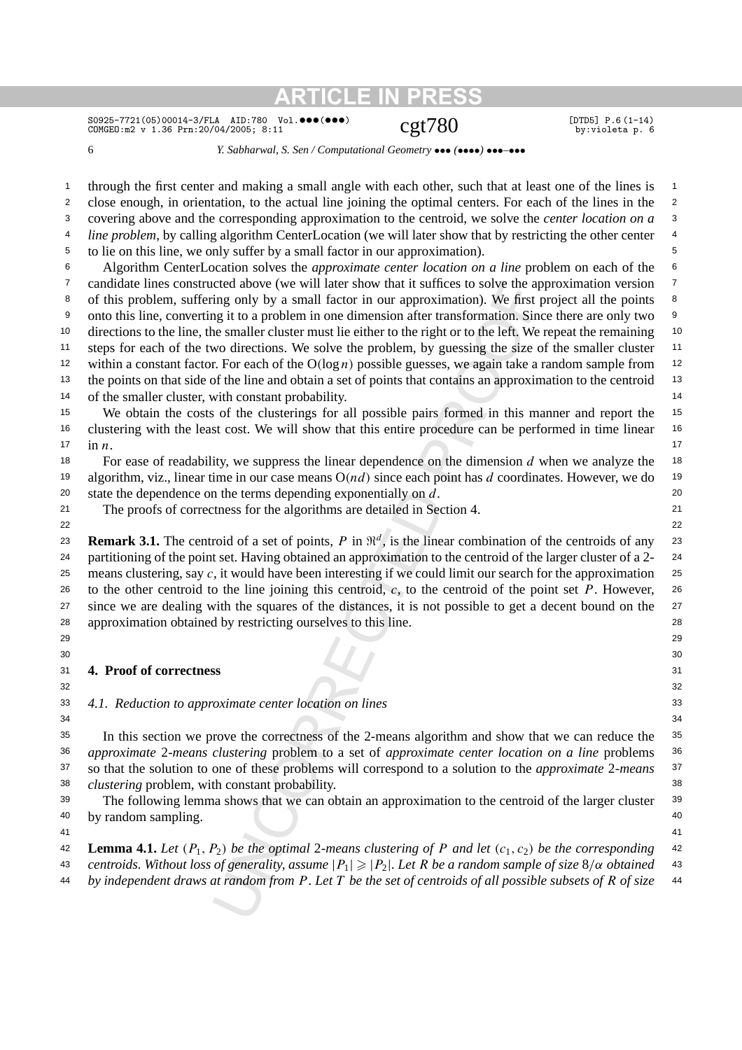S0925-7721(05)00014-3/FLA AID:780 Vol.•••(•••) cgt780 by:violeta p. 6 (1-14)<br>CGT780 by:violeta p. 6

6 *Y. Sabharwal, S. Sen / Computational Geometry* ••• *(*••••*)* •••*–*•••

<sup>1</sup> through the first center and making a small angle with each other, such that at least one of the lines is <sup>1</sup> 2 2 close enough, in orientation, to the actual line joining the optimal centers. For each of the lines in the 3 3 covering above and the corresponding approximation to the centroid, we solve the *center location on a* <sup>4</sup> line problem, by calling algorithm CenterLocation (we will later show that by restricting the other center <sup>4</sup> 5 5 to lie on this line, we only suffer by a small factor in our approximation).

cted above (we will later show that it sufttese to solve the ap<br>ning only by a small factor in our approximation). We first give the aprole and above (we will later show that it suffices that<br>ing only by a small factor in 6 6 Algorithm CenterLocation solves the *approximate center location on a line* problem on each of the <sup>7</sup> candidate lines constructed above (we will later show that it suffices to solve the approximation version <sup>7</sup> 8 of this problem, suffering only by a small factor in our approximation). We first project all the points 8 9 onto this line, converting it to a problem in one dimension after transformation. Since there are only two 9 <sup>10</sup> directions to the line, the smaller cluster must lie either to the right or to the left. We repeat the remaining <sup>10</sup> <sup>11</sup> steps for each of the two directions. We solve the problem, by guessing the size of the smaller cluster <sup>11</sup> 12 within a constant factor. For each of the O(log *n*) possible guesses, we again take a random sample from 12 <sup>13</sup> the points on that side of the line and obtain a set of points that contains an approximation to the centroid<sup>13</sup> 14 of the smaller cluster, with constant probability. 14

<sup>15</sup> We obtain the costs of the clusterings for all possible pairs formed in this manner and report the <sup>15</sup> <sup>16</sup> clustering with the least cost. We will show that this entire procedure can be performed in time linear <sup>16</sup>  $\ln n$ . 17 in *n*.

18 18 For ease of readability, we suppress the linear dependence on the dimension *d* when we analyze the 19 19 algorithm, viz., linear time in our case means O*(nd)* since each point has *d* coordinates. However, we do 20 20 state the dependence on the terms depending exponentially on *d*.

21 21 The proofs of correctness for the algorithms are detailed in Section 4.

**Remark 3.1.** The centroid of a set of points, P in  $\mathbb{R}^d$ , is the linear combination of the centroids of any 23 24 partitioning of the point set. Having obtained an approximation to the centroid of the larger cluster of a 2- 25 means clustering, say *c*, it would have been interesting if we could limit our search for the approximation 26 to the other centroid to the line joining this centroid, *c*, to the centroid of the point set *P*. However, 27 since we are dealing with the squares of the distances, it is not possible to get a decent bound on the 27 28 approximation obtained by restricting ourselves to this line.

29 29  $30$ 

22 22

- 31 31 **4. Proof of correctness**
- $32$   $32$

33 33 *4.1. Reduction to approximate center location on lines*

<sup>35</sup> In this section we prove the correctness of the 2-means algorithm and show that we can reduce the <sup>35</sup> 36 *approximate* 2*-means clustering* problem to a set of *approximate center location on a line* problems 37 so that the solution to one of these problems will correspond to a solution to the *approximate* 2*-means* 38 *clustering* problem, with constant probability.

 $34$   $34$ 

<sup>39</sup> The following lemma shows that we can obtain an approximation to the centroid of the larger cluster <sup>39</sup> 40 40 by random sampling.

42 42 **Lemma 4.1.** *Let (P*1*, P*2*) be the optimal* 2*-means clustering of P and let (c*1*, c*2*) be the corresponding*  $43$  centroids. Without loss of generality, assume  $|P_1| \geq |P_2|$ . Let R be a random sample of size  $8/\alpha$  obtained 43 44 44 *by independent draws at random from P. Let T be the set of centroids of all possible subsets of R of size*

41 41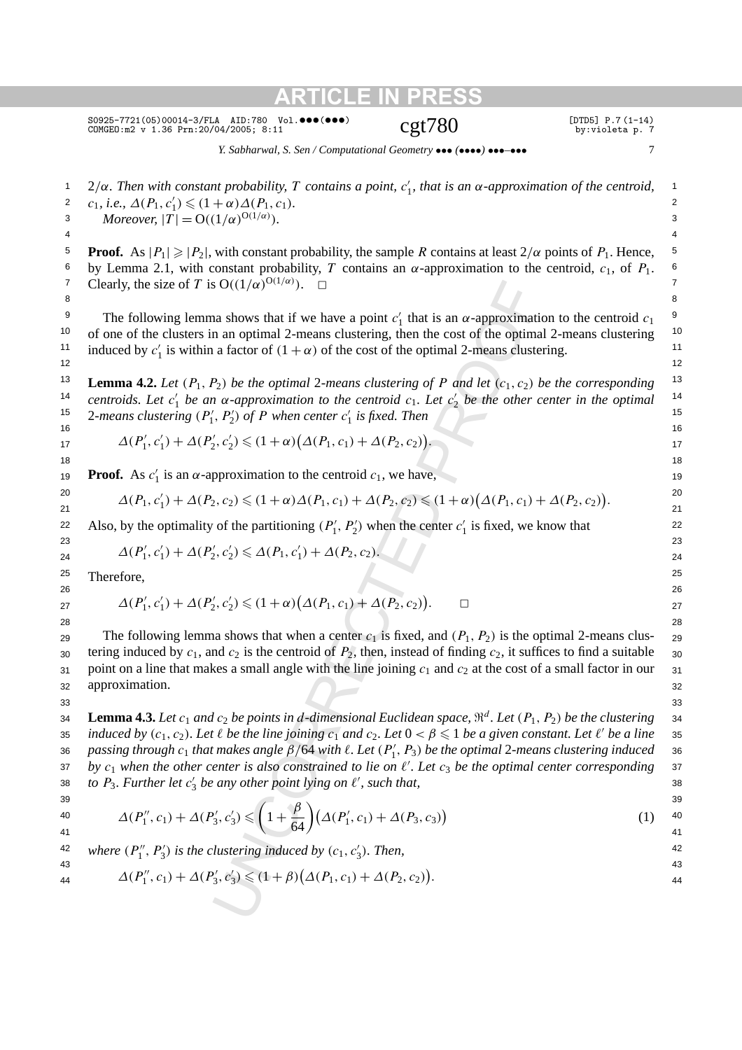S0925-7721(05)00014-3/FLA AID:780 Vol. $\bullet\bullet\bullet\bullet\bullet\bullet$  <br>COMGEO:m2 v 1.36 Prn:20/04/2005; 8:11 <br>COMGEO:m2 v 1.36 Prn:20/04/2005; 8:11 <br>COMGEO:m2 v 1.36 Prn:20/04/2005; 8:11 COMGEO:m2 v 1.36 Prn:20/04/2005; 8:11

1 1 2*/α. Then with constant probability, T contains a point, c* <sup>1</sup>*, that is an α-approximation of the centroid,* 2 *c*<sub>1</sub>*, i.e.,*  $\Delta(P_1, c'_1) \leq (1 + \alpha) \Delta(P_1, c_1)$ . 3 *Moreover,*  $|T| = O((1/\alpha)^{O(1/\alpha)})$ *.* 3

4 4

**Proof.** As  $|P_1| \geq |P_2|$ , with constant probability, the sample *R* contains at least  $2/\alpha$  points of  $P_1$ . Hence, <sup>5</sup> 6 6 by Lemma 2.1, with constant probability, *T* contains an *α*-approximation to the centroid, *c*1, of *P*1.  $7 \text{ Clearly, the size of } T \text{ is } O((1/\alpha)^{O(1/\alpha)})$ .  $\Box$ 

8 8

<sup>9</sup> The following lemma shows that if we have a point  $c'_1$  that is an *α*-approximation to the centroid  $c_1$ <sup>9</sup> <sup>10</sup> of one of the clusters in an optimal 2-means clustering, then the cost of the optimal 2-means clustering <sup>10</sup> 11 induced by  $c'_1$  is within a factor of  $(1 + \alpha)$  of the cost of the optimal 2-means clustering.

**13 Lemma 4.2.** Let  $(P_1, P_2)$  be the optimal 2-means clustering of P and let  $(c_1, c_2)$  be the corresponding  $\frac{13}{2}$ <sup>14</sup> centroids. Let  $c'_1$  be an α-approximation to the centroid  $c_1$ . Let  $c'_2$  be the other center in the optimal <sup>14</sup> <sup>15</sup> 2-means clustering  $(P'_1, P'_2)$  of *P* when center  $c'_1$  is fixed. Then

 $16$ 

18 18

 $12$  and  $12$ 

$$
\Delta(P'_1, c'_1) + \Delta(P'_2, c'_2) \leq (1 + \alpha) \big( \Delta(P_1, c_1) + \Delta(P_2, c_2) \big).
$$

**Proof.** As  $c'_1$  is an  $\alpha$ -approximation to the centroid  $c_1$ , we have,

$$
\Delta(P_1, c'_1) + \Delta(P_2, c_2) \leq (1+\alpha)\Delta(P_1, c_1) + \Delta(P_2, c_2) \leq (1+\alpha)\big(\Delta(P_1, c_1) + \Delta(P_2, c_2)\big).
$$

22 Also, by the optimality of the partitioning  $(P'_1, P'_2)$  when the center  $c'_1$  is fixed, we know that 22

$$
\Delta(P'_1, c'_1) + \Delta(P'_2, c'_2) \leq \Delta(P_1, c'_1) + \Delta(P_2, c_2).
$$

 $25$  Therefore  $25$ Therefore,

26 26 27  $\Delta(P'_1, c'_1) + \Delta(P'_2, c'_2) \leq (1 + \alpha) (\Delta(P_1, c_1) + \Delta(P_2, c_2)).$  □ *.* ✷

28 28 29 The following lemma shows that when a center  $c_1$  is fixed, and  $(P_1, P_2)$  is the optimal 2-means clus- $30$  tering induced by  $c_1$ , and  $c_2$  is the centroid of  $P_2$ , then, instead of finding  $c_2$ , it suffices to find a suitable  $30$  $31$  point on a line that makes a small angle with the line joining  $c_1$  and  $c_2$  at the cost of a small factor in our  $31$ 32 32 approximation.

33 33

SO((1/α)<sup>0(x(x(a)</sup>). □<br>
as shows that if we have a point c'<sub>1</sub> that is an α-approximati<br>
an an optimal 2-means clustering, then the cost of the optimal<br>
a factor of (1+α) of the cost of the optimal 2-means cluste<br>
a fac Lemma 4.3. Let  $c_1$  and  $c_2$  be points in d-dimensional Euclidean space,  $\mathbb{R}^d$ . Let  $(P_1, P_2)$  be the clustering 24 *induced by*  $(c_1, c_2)$ *. Let*  $\ell$  *be the line joining*  $c_1$  *and*  $c_2$ *. Let*  $0 < \beta \leq 1$  *be a given constant. Let*  $\ell'$  *be a line* 35 36 *passing through c*<sup>1</sup> *that makes angle β/*64 *with . Let (P* <sup>1</sup>*, P*3*) be the optimal* 2*-means clustering induced* 37 by  $c_1$  when the other center is also constrained to lie on  $\ell'$ . Let  $c_3$  be the optimal center corresponding 37 *to*  $P_3$ *. Further let*  $c'_3$  *be any other point lying on*  $\ell'$ *, such that,* 

$$
\Delta(P_1'', c_1) + \Delta(P_3', c_3') \leq \left(1 + \frac{\beta}{64}\right) \left(\Delta(P_1', c_1) + \Delta(P_3, c_3)\right)
$$
\n<sup>39</sup>\n<sup>39</sup>\n<sup>40</sup>\n<sup>41</sup>\n<sup>40</sup>\n<sup>41</sup>

42 where  $(P_1'', P_3')$  is the clustering induced by  $(c_1, c_3')$ . Then,

43  
44  
45  
46  
47, 
$$
c_1
$$
) +  $\Delta(P'_1, c_1)$  +  $\Delta(P'_2, c'_3)$   $\leq$   $(1 + \beta)\big(\Delta(P_1, c_1) + \Delta(P_2, c_2)\big).$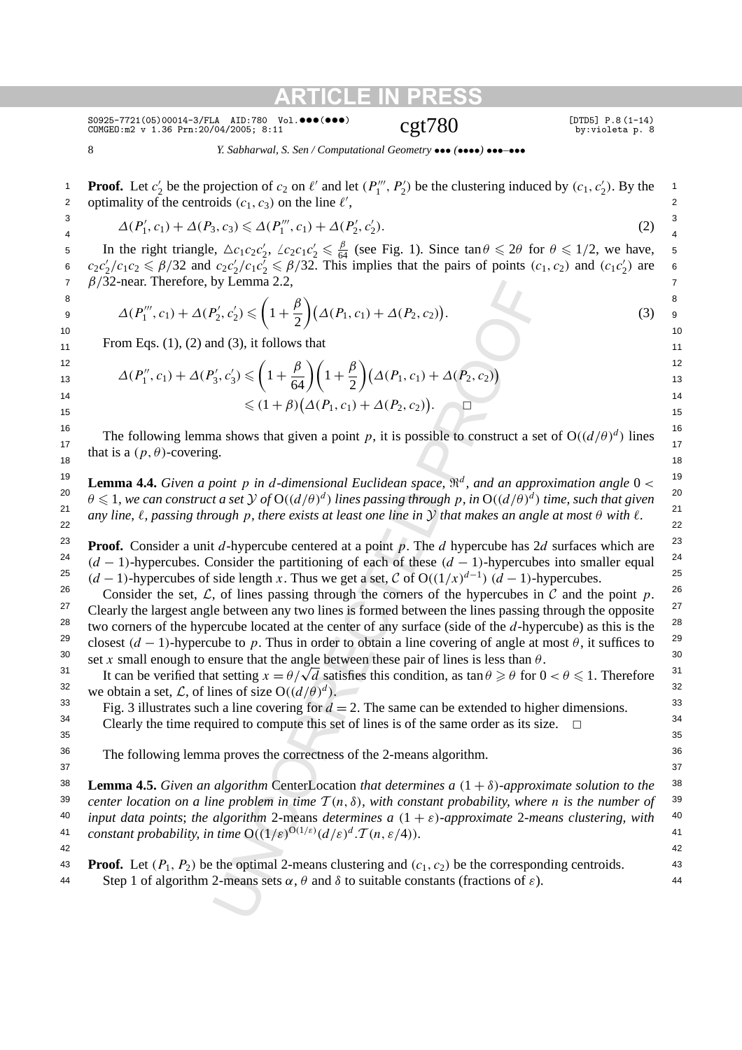S0925-7721(05)00014-3/FLA AID:780 Vol.•••(•••) cgt $780$  [DTD5] P.8(1-14)<br>COMGEO:m2 v 1.36 Prn:20/04/2005; 8:11 cgt780 by:violeta p. 8

#### 8 *Y. Sabharwal, S. Sen / Computational Geometry* ••• *(*••••*)* •••*–*•••

**Proof.** Let  $c'_2$  be the projection of  $c_2$  on  $\ell'$  and let  $(P''_1, P'_2)$  be the clustering induced by  $(c_1, c'_2)$ . By the 2 optimality of the centroids  $(c_1, c_3)$  on the line  $l'$ ,

$$
\Delta(P'_1, c_1) + \Delta(P_3, c_3) \le \Delta(P''_1, c_1) + \Delta(P'_2, c'_2). \tag{2}
$$

5 In the right triangle,  $\Delta c_1 c_2 c_2'$ ,  $\angle c_2 c_1 c_2' \leq \frac{\beta}{64}$  (see Fig. 1). Since  $\tan \theta \leq 2\theta$  for  $\theta \leq 1/2$ , we have, 5  $c_2 c_2'/c_1 c_2 \le \beta/32$  and  $c_2 c_2'/c_1 c_2' \le \beta/32$ . This implies that the pairs of points  $(c_1, c_2)$  and  $(c_1 c_2')$  are 6  $\beta$ /32-near. Therefore, by Lemma 2.2,  $\beta$ 

<sup>8</sup>  
\n<sup>9</sup>  
\n
$$
\Delta(P''_1, c_1) + \Delta(P'_2, c'_2) \leq \left(1 + \frac{\beta}{2}\right) \left(\Delta(P_1, c_1) + \Delta(P_2, c_2)\right).
$$
\n<sup>8</sup>  
\n<sup>9</sup>  
\n<sup>10</sup>

11 From Eqs. (1), (2) and (3), it follows that  $11$ 

12  
\n13  
\n14  
\n15  
\n
$$
\Delta(P''_1, c_1) + \Delta(P'_3, c'_3) \leq \left(1 + \frac{\beta}{64}\right) \left(1 + \frac{\beta}{2}\right) \left(\Delta(P_1, c_1) + \Delta(P_2, c_2)\right)
$$
\n14  
\n15  
\n16  
\n17  
\n18  
\n19  
\n10  
\n11  
\n12  
\n13  
\n14  
\n15

16  $\pi$  cut is a distribution of the set of  $\alpha$  (1/2)  $\alpha$  is 16 <sup>16</sup> The following lemma shows that given a point *p*, it is possible to construct a set of O( $(d/\theta)^d$ ) lines <sup>17</sup>  $18$  18 that is a  $(p, \theta)$ -covering.

**Lemma 4.4.** *Given a point p in d-dimensional Euclidean space,*  $\mathbb{R}^d$ *, and an approximation angle*  $0 < \frac{19}{20}$  $\theta \leq 1$ , we can construct a set Y of  $O((d/\theta)^d)$  lines passing through p, in  $O((d/\theta)^d)$  time, such that given  $\frac{20}{21}$ *a*<sup>21</sup> any line, *l*, passing through *p*, there exists at least one line in *Y* that makes an angle at most  $\theta$  with  $\ell$ . 22 22

**Proof.** Consider a unit *d*-hypercube centered at a point *p*. The *d* hypercube has 2*d* surfaces which are <sup>23</sup> <sup>24</sup>  $(d-1)$ -hypercubes. Consider the partitioning of each of these  $(d-1)$ -hypercubes into smaller equal<sup>24</sup> <sup>25</sup>  $(d-1)$ -hypercubes of side length *x*. Thus we get a set, C of O( $(1/x)^{d-1}$ )  $(d-1)$ -hypercubes. <sup>25</sup>

by Lemma 2.2,<br>  $\frac{d^2}{2}$ ,  $c_2^2$ ,  $\leq (\frac{1+\frac{\beta}{2}}{2})(\Delta(P_1, c_1) + \Delta(P_2, c_2))$ .<br>
and (3), it follows that<br>  $\frac{d^2}{2}$ ,  $c_2^2$ )  $\leq (1 + \frac{\beta}{64})(1 + \frac{\beta}{2})(\Delta(P_1, c_1) + \Delta(P_2, c_2))$ <br>  $\leq (1 + \beta)(\Delta(P_1, c_1) + \Delta(P_2, c_2))$ .<br>  $\Rightarrow$  an sh <sup>26</sup> 26 Consider the set,  $\mathcal{L}$ , of lines passing through the corners of the hypercubes in  $\mathcal{C}$  and the point  $p = \frac{26}{27}$ <sup>27</sup> Clearly the largest angle between any two lines is formed between the lines passing through the opposite<sup>27</sup> <sup>28</sup> two corners of the hypercube located at the center of any surface (side of the *d*-hypercube) as this is the <sup>28</sup> <sup>29</sup> closest  $(d-1)$ -hypercube to *p*. Thus in order to obtain a line covering of angle at most  $\theta$ , it suffices to <sup>29</sup> <sup>30</sup> set *x* small enough to ensure that the angle between these pair of lines is less than  $\theta$ .

set *x* small enough to ensure that the angle between these pair of lines is less than  $\theta$ .<br><sup>31</sup> It can be verified that setting  $x = \theta/\sqrt{d}$  satisfies this condition, as  $\tan \theta \ge \theta$  for  $0 < \theta \le 1$ . Therefore we obtain a set, L, of lines of size  $O((d/\theta)^d)$ . <sup>32</sup>

<sup>33</sup> Fig. 3 illustrates such a line covering for  $d = 2$ . The same can be extended to higher dimensions.<sup>33</sup> 34 Clearly the time required to compute this set of lines is of the same order as its size.  $\square$  35  $35$   $35$ 

<sup>36</sup> The following lemma proves the correctness of the 2-means algorithm.

 38 **Lemma 4.5.** *Given an algorithm* CenterLocation *that determines a (*1 + *δ)-approximate solution to the* 39 *center location on a line problem in time* T *(n, δ), with constant probability, where n is the number of* 40 *input data points*; *the algorithm* 2*-*means *determines a (*1 + *ε)-approximate* 2*-means clustering, with constant probability, in time*  $O((1/\varepsilon)^{O(1/\varepsilon)}(d/\varepsilon)^d \cdot \mathcal{T}(n,\varepsilon/4)).$ 42 42

 $37$  37

**Proof.** Let  $(P_1, P_2)$  be the optimal 2-means clustering and  $(c_1, c_2)$  be the corresponding centroids. 43 44 Step 1 of algorithm 2-means sets  $\alpha$ ,  $\theta$  and  $\delta$  to suitable constants (fractions of  $\varepsilon$ ).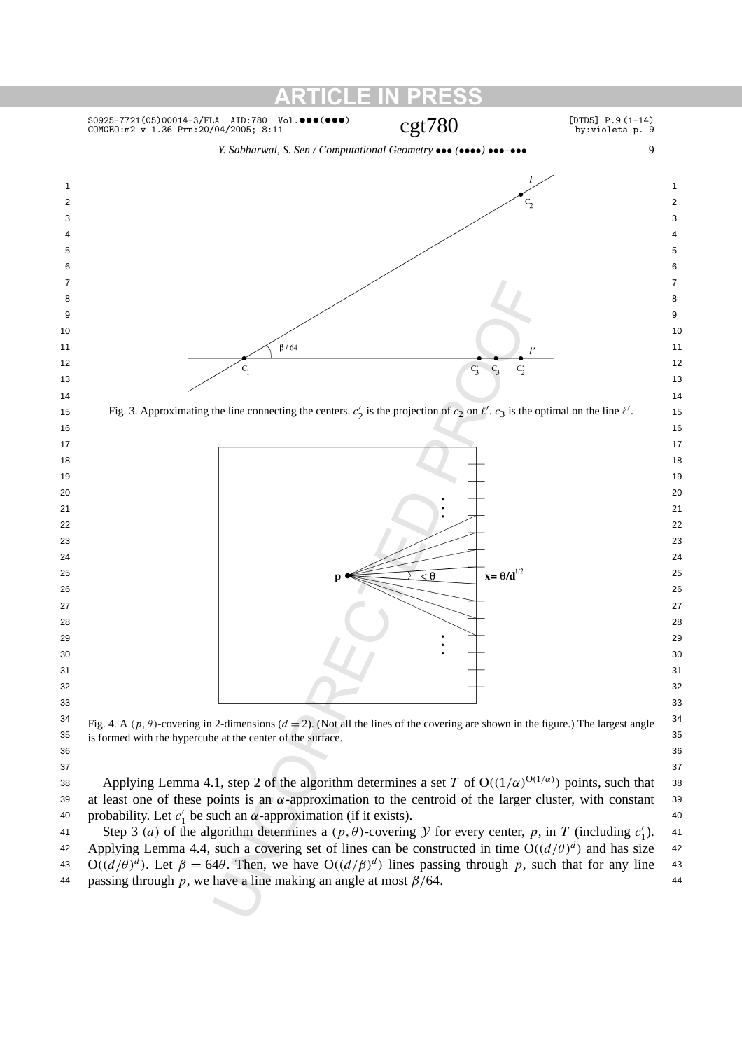

<sup>34</sup> Fig. 4. A  $(p, \theta)$ -covering in 2-dimensions ( $d = 2$ ). (Not all the lines of the covering are shown in the figure.) The largest angle <sup>34</sup> 35 is formed with the hypercube at the center of the surface.

 36 37

38 Applying Lemma 4.1, step 2 of the algorithm determines a set *T* of  $O((1/\alpha)^{O(1/\alpha)})$  points, such that 38 39 at least one of these points is an *α*-approximation to the centroid of the larger cluster, with constant 40 probability. Let  $c'_1$  be such an  $\alpha$ -approximation (if it exists).

41 Step 3 *(a)* of the algorithm determines a *(p, θ)*-covering *y* for every center, *p*, in *T* (including  $c'_1$ ). 41 42 Applying Lemma 4.4, such a covering set of lines can be constructed in time  $O((d/\theta)^d)$  and has size 42 43  $O((d/\theta)^d)$ . Let  $\beta = 64\theta$ . Then, we have  $O((d/\beta)^d)$  lines passing through p, such that for any line 43 passing through *p*, we have a line making an angle at most  $β/64$ .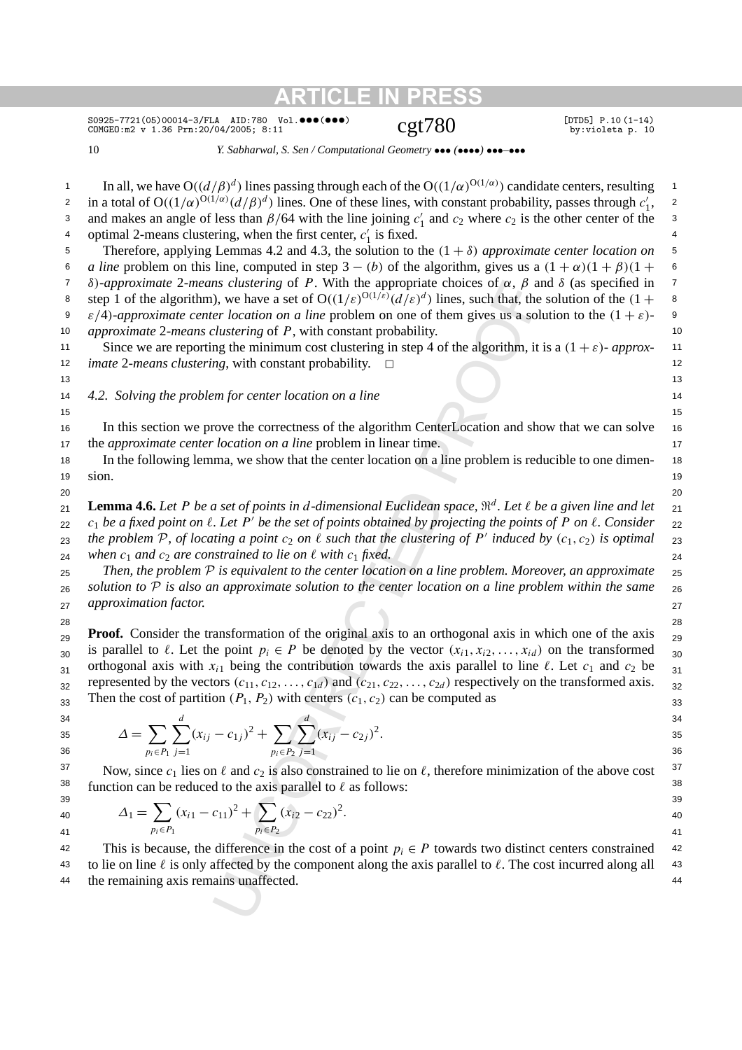$S0925-7721(05)00014-3/FLA$  AID:780 Vol. $\bullet\bullet\bullet(\bullet\bullet\bullet)$  come come come that  $Cgt780$  for the set of the set of the set of the set of the set of the set of the set of the set of the set of the set of the set of the set of th

10 *Y. Sabharwal, S. Sen / Computational Geometry* ••• *(*••••*)* •••*–*•••

or sclastering of  $P$ . With the approprate choices of  $\alpha$ ,  $\beta$  and<br>
so, clustering of  $P$ . With the approprate choics of  $\alpha$ ,  $\beta$ <br>
or, we have a set of  $O((1/\varepsilon)^{O(1/\varepsilon)}(\ln \varepsilon))$  thes, such that, the<br> *er location on* 1 In all, we have  $O((d/\beta)^d)$  lines passing through each of the  $O((1/\alpha)^{O(1/\alpha)})$  candidate centers, resulting 1 2 in a total of  $O((1/\alpha)^{O(1/\alpha)}(d/\beta)^d)$  lines. One of these lines, with constant probability, passes through  $c'_1$ , 2 3 and makes an angle of less than  $\beta$ /64 with the line joining  $c'_1$  and  $c_2$  where  $c_2$  is the other center of the <sup>3</sup> 4 optimal 2-means clustering, when the first center,  $c_1$ ' is fixed. 5 Therefore, applying Lemmas 4.2 and 4.3, the solution to the  $(1 + \delta)$  *approximate center location on*<sup>5</sup> 6 *a line* problem on this line, computed in step  $3 - (b)$  of the algorithm, gives us a  $(1 + \alpha)(1 + \beta)(1 + 6)$ 7 7 *δ)*-*approximate* 2*-means clustering* of *P*. With the appropriate choices of *α*, *β* and *δ* (as specified in 8 step 1 of the algorithm), we have a set of  $O((1/\epsilon)^{O(1/\epsilon)}(d/\epsilon)^d)$  lines, such that, the solution of the  $(1 + 8$ 9 9 *ε/*4*)*-*approximate center location on a line* problem on one of them gives us a solution to the *(*1 + *ε)*- 10 10 *approximate* 2*-means clustering* of *P*, with constant probability. 11 Since we are reporting the minimum cost clustering in step 4 of the algorithm, it is a  $(1 + \varepsilon)$ - *approx*- 11 12 12 *imate* <sup>2</sup>*-means clustering*, with constant probability. ✷ 13 13 14 14 *4.2. Solving the problem for center location on a line*  $15$  15 16 In this section we prove the correctness of the algorithm CenterLocation and show that we can solve 16 17 17 the *approximate center location on a line* problem in linear time. 18 In the following lemma, we show that the center location on a line problem is reducible to one dimen-<br>18  $19$  S10N.  $19$ 20 20 **Lemma 4.6.** Let P be a set of points in d-dimensional Euclidean space,  $\mathbb{R}^d$ . Let  $\ell$  be a given line and let  $\ell_2$  $c_1$  *be a fixed point on*  $\ell$ *. Let*  $P'$  *be the set of points obtained by projecting the points of*  $P$  *on*  $\ell$ *. Consider* 22 23 the problem P, of locating a point  $c_2$  on  $\ell$  such that the clustering of P' induced by  $(c_1, c_2)$  is optimal 23 24 when  $c_1$  and  $c_2$  are constrained to lie on  $\ell$  with  $c_1$  *fixed.* 25 25 *Then, the problem* P *is equivalent to the center location on a line problem. Moreover, an approximate* 26 26 *solution to* P *is also an approximate solution to the center location on a line problem within the same* 27 27 *approximation factor.* 28 28 <sub>29</sub> Proof. Consider the transformation of the original axis to an orthogonal axis in which one of the axis <sub>29</sub> 30 is parallel to  $\ell$ . Let the point  $p_i \in P$  be denoted by the vector  $(x_{i1}, x_{i2},...,x_{id})$  on the transformed <sub>30</sub> orthogonal axis with  $x_{i1}$  being the contribution towards the axis parallel to line  $\ell$ . Let  $c_1$  and  $c_2$  be  $a_{11}$ s<sub>22</sub> represented by the vectors  $(c_{11}, c_{12},...,c_{1d})$  and  $(c_{21}, c_{22},...,c_{2d})$  respectively on the transformed axis. <sub>32</sub> 33 Then the cost of partition  $(P_1, P_2)$  with centers  $(c_1, c_2)$  can be computed as  $d$  34 34 34 35  $\Delta = \sum (x_{ij} - c_{1j})^2 + \sum (x_{ij} - c_{2j})^2$ . 35 36  $p_i \in P_1 j = 1$   $p_i \in P_2 j = 1$  36 37 Now, since  $c_1$  lies on  $\ell$  and  $c_2$  is also constrained to lie on  $\ell$ , therefore minimization of the above cost <sup>37</sup> <sup>38</sup> function can be reduced to the axis parallel to  $\ell$  as follows: 39 39  $40 \hspace{1.5cm} \Delta_1 = \sum_{i=1}^{n} (x_{i1} - c_{11}) + \sum_{i=1}^{n} (x_{i2} - c_{22})$ . 41  $p_i \in P_1$   $p_i \in P_2$  41 42 This is because, the difference in the cost of a point  $p_i \in P$  towards two distinct centers constrained 42 43 to lie on line  $\ell$  is only affected by the component along the axis parallel to  $\ell$ . The cost incurred along all 43 44 the remaining axis remains unaffected. 44 sion. *∆* = *pi*∈*P*<sup>1</sup>  $\sum$ *d j*=1  $(x_{ij} - c_{1j})^2 + \sum$ *pi*∈*P*<sup>2</sup>  $\sum$ *d j*=1  $(x_{ij} - c_{2j})^2$ .  $\Delta_1 = \sum$ *pi*∈*P*<sup>1</sup>  $(x_{i1} - c_{11})^2 + \sum$ *pi*∈*P*<sup>2</sup>  $(x_{i2} - c_{22})^2$ .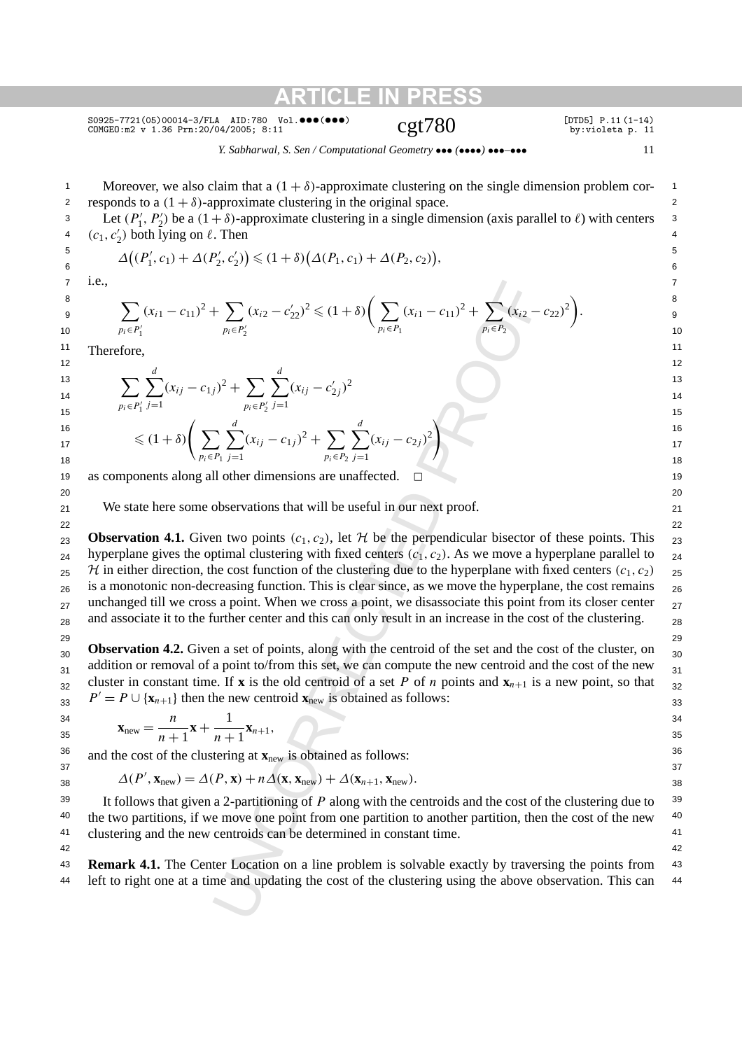$S0925-7721(05)00014-3/FLA$  AID:780 Vol. $\bullet\bullet\bullet(\bullet\bullet\bullet)$  come come come that  $Cgt780$  for the set of the set of the set of the set of the set of the set of the set of the set of the set of the set of the set of the set of th

1 Moreover, we also claim that a  $(1 + \delta)$ -approximate clustering on the single dimension problem cor- $2$  responds to a  $(1 + \delta)$ -approximate clustering in the original space.

3 Let  $(P'_1, P'_2)$  be a  $(1 + \delta)$ -approximate clustering in a single dimension (axis parallel to  $\ell$ ) with centers <sup>3</sup>  $^{4}$   $(c_1, c'_2)$  both lying on  $\ell$ . Then

$$
\Delta((P'_1, c_1) + \Delta(P'_2, c'_2)) \leq (1 + \delta) (\Delta(P_1, c_1) + \Delta(P_2, c_2)),
$$
\n<sup>5</sup>

 $7 \t1.8$ . i.e.,

$$
\sum_{p_i \in P'_1} (x_{i1} - c_{11})^2 + \sum_{p_i \in P'_2} (x_{i2} - c'_{22})^2 \leq (1 + \delta) \left( \sum_{p_i \in P_1} (x_{i1} - c_{11})^2 + \sum_{p_i \in P_2} (x_{i2} - c_{22})^2 \right).
$$

11 Therefore 11 and 11 and 11 and 11 and 11 and 11 and 11 and 11 and 11 and 11 and 11 and 11 and 11 and 11 and 11 and 11 and 11 and 11 and 11 and 11 and 11 and 11 and 11 and 11 and 11 and 11 and 11 and 11 and 11 and 11 and Therefore,

12  
\n13  
\n14  
\n15  
\n
$$
\sum_{p_i \in P'_1} \sum_{j=1}^d (x_{ij} - c_{1j})^2 + \sum_{p_i \in P'_2} \sum_{j=1}^d (x_{ij} - c'_{2j})^2
$$
\n15  
\n16  
\n17  
\n18  
\n19  
\n10

$$
\begin{array}{lll}\n16 & \text{(1 + \delta)} & \left( \sum_{p_i \in P_1} \sum_{j=1}^d (x_{ij} - c_{1j})^2 + \sum_{p_i \in P_2} \sum_{j=1}^d (x_{ij} - c_{2j})^2 \right) \\
18 & \text{(1 + \delta)} & \left( \sum_{p_i \in P_1} \sum_{j=1}^d (x_{ij} - c_{1j})^2 + \sum_{p_i \in P_2} \sum_{j=1}^d (x_{ij} - c_{2j})^2 \right)\n\end{array}
$$

19 as components along all other dimensions are unaffected.  $\Box$  19

21 21 We state here some observations that will be useful in our next proof.

+  $\sum_{p_i \in P_2} (x_{i2} - c'_{22})^2 \le (1 + \delta) \left( \sum_{p_i \in P_1} (x_{i1} - c_{11})^2 + \sum_{p_i \in P_2} (x_{i2} - c'_{22})^2 \right)$ <br>  $y^2 + \sum_{p_i \in P_2} \sum_{j=1}^d (x_{ij} - c'_{2j})^2$ <br>  $\sum_{p_i \in P_2}^d (x_{ij} - c_{1j})^2 + \sum_{p_i \in P_2} \sum_{j=1}^d (x_{ij} - c_{2j})^2$ <br>
If other dimensio 22 22 **Observation 4.1.** Given two points  $(c_1, c_2)$ , let  $H$  be the perpendicular bisector of these points. This <sub>23</sub> 24 hyperplane gives the optimal clustering with fixed centers  $(c_1, c_2)$ . As we move a hyperplane parallel to  $_{24}$ 25  $\mathcal{H}$  in either direction, the cost function of the clustering due to the hyperplane with fixed centers  $(c_1, c_2)$  25  $_{26}$  is a monotonic non-decreasing function. This is clear since, as we move the hyperplane, the cost remains  $_{26}$  $_{27}$  unchanged till we cross a point. When we cross a point, we disassociate this point from its closer center  $_{27}$ <sub>28</sub> and associate it to the further center and this can only result in an increase in the cost of the clustering. <sub>28</sub>

20 20

29 29 30 **Observation 4.2.** Given a set of points, along with the centroid of the set and the cost of the cluster, on <sub>30</sub> 31 addition or removal of a point to/from this set, we can compute the new centroid and the cost of the new <sub>31</sub> cluster in constant time. If **x** is the old centroid of a set *P* of *n* points and  $\mathbf{x}_{n+1}$  is a new point, so that  $\frac{1}{32}$  $P' = P \cup {\mathbf{x}_{n+1}}$  then the new centroid  $\mathbf{x}_{new}$  is obtained as follows:

$$
x_{\text{new}} = \frac{n}{n+1}x + \frac{1}{n+1}x_{n+1},
$$

 $36$  and the cost of the clustering at  $\mathbf{x}_{\text{new}}$  is obtained as follows:

$$
\Delta(P', \mathbf{x}_{\text{new}}) = \Delta(P, \mathbf{x}) + n\Delta(\mathbf{x}, \mathbf{x}_{\text{new}}) + \Delta(\mathbf{x}_{n+1}, \mathbf{x}_{\text{new}}).
$$
\n<sup>37</sup>

<sup>39</sup> It follows that given a 2-partitioning of *P* along with the centroids and the cost of the clustering due to <sup>39</sup> <sup>40</sup> the two partitions, if we move one point from one partition to another partition, then the cost of the new <sup>40</sup> 41 41 clustering and the new centroids can be determined in constant time. 42 42

43 **Remark 4.1.** The Center Location on a line problem is solvable exactly by traversing the points from 43 44 left to right one at a time and updating the cost of the clustering using the above observation. This can 44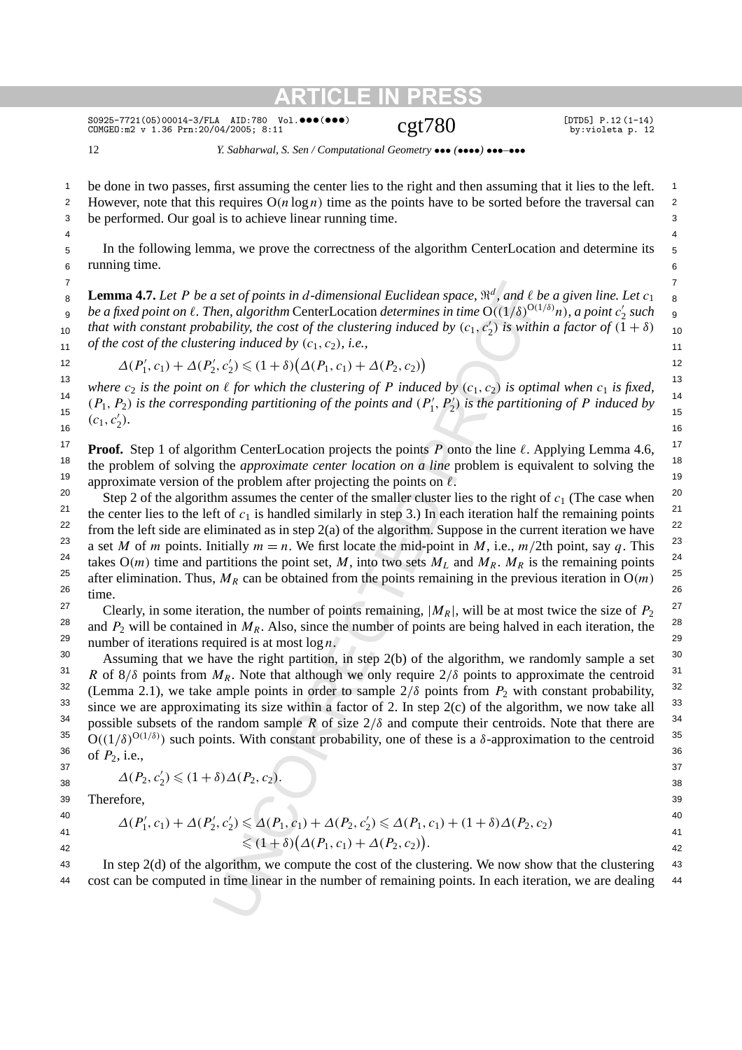$SO(925-7721(05)00014-3/FLA AID:780 Vol. \bullet \bullet (\bullet \bullet \bullet)$  [DTD5] P.12(1-14)<br>COMGEO:m2 v 1.36 Prn:20/04/2005; 8:11 <br>COMGEO:m2 v 1.36 Prn:20/04/2005; 8:11 COMGEO:m2 v 1.36 Prn:20/04/2005; 8:11

12 *Y. Sabharwal, S. Sen / Computational Geometry* ••• *(*••••*)* •••*–*•••

<sup>1</sup> be done in two passes, first assuming the center lies to the right and then assuming that it lies to the left. <sup>1</sup> 2 However, note that this requires  $O(n \log n)$  time as the points have to be sorted before the traversal can 2 3 3 be performed. Our goal is to achieve linear running time.

5 5 In the following lemma, we prove the correctness of the algorithm CenterLocation and determine its 6 6 running time.

 $7$ **Lemma 4.7.** Let P be a set of points in d-dimensional Euclidean space,  $\mathbb{R}^d$ , and  $\ell$  be a given line. Let  $c_1$  g  $_9$  *be a fixed point on*  $\ell$ *. Then, algorithm* CenterLocation *determines in time*  $O((1/\delta)^{O(1/\delta)}n)$ *, a point c*<sup>1</sup><sub>2</sub> such  $_9$ *that with constant probability, the cost of the clustering induced by*  $(c_1, c'_2)$  *is within a factor of*  $(1 + \delta)$  <sub>10</sub> 11 of the cost of the clustering induced by  $(c_1, c_2)$ , i.e.,

12  $\Delta(P'_1, c_1) + \Delta(P'_2, c'_2) \leq (1 + \delta) (\Delta(P_1, c_1) + \Delta(P_2, c_2))$ 

<sup>13</sup> where  $c_2$  *is the point on*  $\ell$  *for which the clustering of*  $P$  *induced by*  $(c_1, c_2)$  *is optimal when*  $c_1$  *is fixed,*  $14$   $(12)$   $(13)$   $(14)$   $(15)$   $(15)$   $(17)$   $(17)$   $(18)$   $(19)$   $(19)$   $(19)$   $(19)$   $(19)$   $(19)$   $(19)$   $(19)$   $(19)$   $(19)$   $(19)$   $(19)$   $(19)$   $(19)$   $(19)$   $(19)$   $(19)$   $(19)$   $(19)$   $(19)$   $(19)$   $(19)$   $(19)$  $(P_1, P_2)$  *is the corresponding partitioning of the points and*  $(P'_1, P'_2)$  *is the partitioning of P induced by*  $\frac{14}{15}$  $16 \t{10}$  $(c_1, c'_2)$ *.* 

**Proof.** Step 1 of algorithm CenterLocation projects the points *P* onto the line  $\ell$ . Applying Lemma 4.6, <sup>18</sup> the problem of solving the *approximate center location on a line* problem is equivalent to solving the <sup>18</sup> <sup>19</sup> approximate version of the problem after projecting the points on  $\ell$ .

<sup>20</sup> Step 2 of the algorithm assumes the center of the smaller cluster lies to the right of  $c_1$  (The case when <sup>20</sup> <sup>21</sup> the center lies to the left of  $c_1$  is handled similarly in step 3.) In each iteration half the remaining points  $\frac{21}{2}$ <sup>22</sup> from the left side are eliminated as in step 2(a) of the algorithm. Suppose in the current iteration we have <sup>22</sup> <sup>23</sup> a set *M* of *m* points. Initially  $m = n$ . We first locate the mid-point in *M*, i.e.,  $m/2$ th point, say *q*. This<sup>23</sup> takes  $O(m)$  time and partitions the point set, *M*, into two sets  $M_L$  and  $M_R$ .  $M_R$  is the remaining points  $\frac{24}{\epsilon}$ <sup>25</sup> after elimination. Thus,  $M_R$  can be obtained from the points remaining in the previous iteration in O(*m*)<sup>25</sup>  $\frac{26}{100}$   $\frac{1}{20}$   $\frac{26}{100}$   $\frac{26}{100}$   $\frac{26}{100}$   $\frac{26}{100}$   $\frac{26}{100}$   $\frac{26}{100}$   $\frac{26}{100}$   $\frac{26}{100}$   $\frac{26}{100}$   $\frac{26}{100}$   $\frac{26}{100}$   $\frac{26}{100}$   $\frac{26}{100}$   $\frac{26}{100}$   $\frac{26}{100}$   $\$ time.

Clearly, in some iteration, the number of points remaining,  $|M_R|$ , will be at most twice the size of  $P_2$ <sup>27</sup> <sup>28</sup> and  $P_2$  will be contained in  $M_R$ . Also, since the number of points are being halved in each iteration, the <sup>29</sup> number of iterations required is at most  $\log n$ .

a set of points in d-dimensional Euclidean space,  $\mathfrak{R}^d$ , and  $\ell$  is<br>en, algorithm CenterLocation determines in time O((1/8)<sup>O(1</sup><br>politic); the cost of the clustering induced by  $(c_1, c'_2)$  is within<br>engineed by  $(c_1$ <sup>30</sup> Assuming that we have the right partition, in step 2(b) of the algorithm, we randomly sample a set <sup>30</sup> <sup>31</sup> R of 8/ $\delta$  points from  $M_R$ . Note that although we only require 2/ $\delta$  points to approximate the centroid<sup>31</sup> <sup>32</sup> (Lemma 2.1), we take ample points in order to sample  $2/\delta$  points from  $P_2$  with constant probability, <sup>32</sup>  $33$  since we are approximating its size within a factor of 2. In step 2(c) of the algorithm, we now take all  $33$ <sup>34</sup> possible subsets of the random sample *R* of size  $2/\delta$  and compute their centroids. Note that there are <sup>34</sup> <sup>35</sup> O((1/δ)<sup>O(1/δ)</sup>) such points. With constant probability, one of these is a δ-approximation to the centroid <sup>35</sup>  $36$  of **P**, i.e.  $36$ of *P*2, i.e.,

$$
\Delta(P_2, c'_2) \leqslant (1+\delta)\Delta(P_2, c_2). \tag{33}
$$

39 Therefore, 39 Therefore,

$$
\Delta(P'_1, c_1) + \Delta(P'_2, c'_2) \leq \Delta(P_1, c_1) + \Delta(P_2, c'_2) \leq \Delta(P_1, c_1) + (1 + \delta)\Delta(P_2, c_2)
$$
\n<sup>40</sup>

42 
$$
\leq (1+\delta)\big(\Delta(P_1,c_1) + \Delta(P_2,c_2)\big).
$$

43 In step 2(d) of the algorithm, we compute the cost of the clustering. We now show that the clustering 43 44 44 cost can be computed in time linear in the number of remaining points. In each iteration, we are dealing

4 4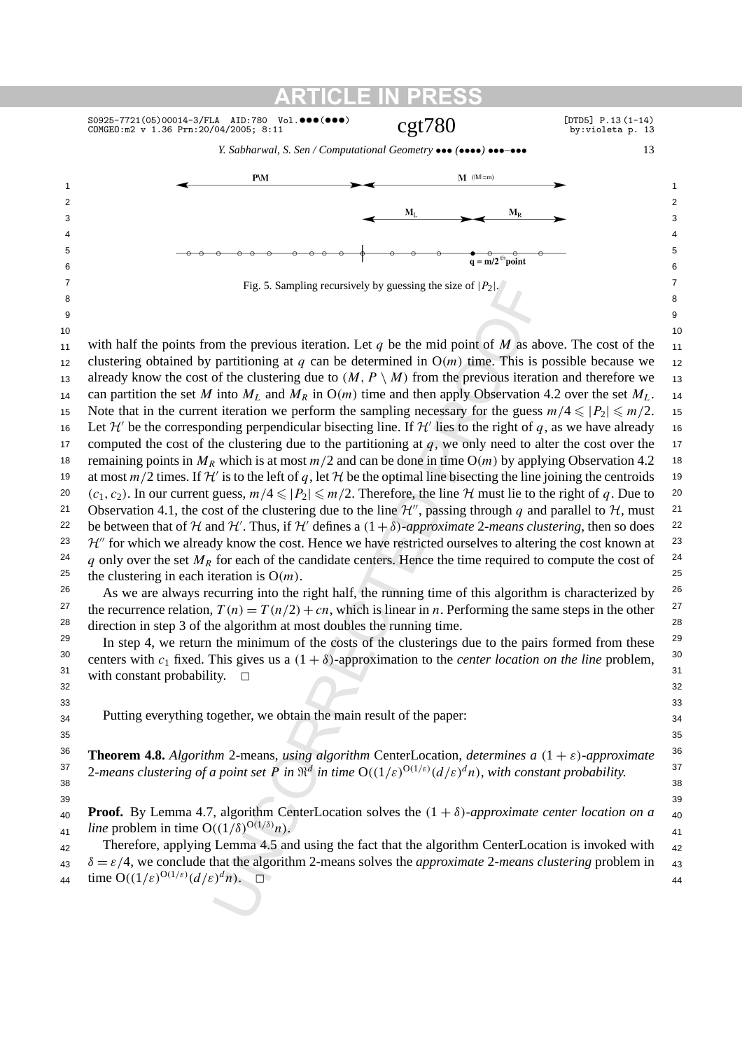

Fig. 5. Sampling recursively by guessing the size of  $|P_2|$ .<br>
On the previous iteration. Let q be the mid point of M as a<br>
partitioning at q can be determined in  $O(m)$  time. This is<br>
of the clustering due to  $(M, P \setminus M)$  f 13 already know the cost of the clustering due to  $(M, P \setminus M)$  from the previous iteration and therefore we 13 14 can partition the set *M* into  $M_L$  and  $M_R$  in O(*m*) time and then apply Observation 4.2 over the set  $M_L$ . 15 Note that in the current iteration we perform the sampling necessary for the guess  $m/4 \leq |P_2| \leq m/2$ . 15 16 Let  $\mathcal{H}'$  be the corresponding perpendicular bisecting line. If  $\mathcal{H}'$  lies to the right of *q*, as we have already 16 17 computed the cost of the clustering due to the partitioning at  $q$ , we only need to alter the cost over the 17 18 remaining points in  $M_R$  which is at most  $m/2$  and can be done in time  $O(m)$  by applying Observation 4.2 18 19 at most  $m/2$  times. If  $\mathcal{H}'$  is to the left of q, let  $\mathcal H$  be the optimal line bisecting the line joining the centroids 19 20  $(c_1, c_2)$ . In our current guess,  $m/4 \leq P_2 \leq m/2$ . Therefore, the line  $H$  must lie to the right of *q*. Due to 20 21 Observation 4.1, the cost of the clustering due to the line  $\mathcal{H}''$ , passing through *q* and parallel to  $\mathcal{H}$ , must 21 be between that of H and H'. Thus, if H' defines a  $(1 + \delta)$ -*approximate* 2-*means clustering*, then so does <sup>22</sup>  $23$  H'' for which we already know the cost. Hence we have restricted ourselves to altering the cost known at  $23$ <sup>24</sup> q only over the set  $M_R$  for each of the candidate centers. Hence the time required to compute the cost of <sup>24</sup> <sup>25</sup> the clustering in each iteration is  $O(m)$ . <sup>25</sup>

<sup>26</sup> As we are always recurring into the right half, the running time of this algorithm is characterized by  $26$ <sup>27</sup> the recurrence relation,  $T(n) = T(n/2) + cn$ , which is linear in *n*. Performing the same steps in the other <sup>27</sup> <sup>28</sup> direction in step 3 of the algorithm at most doubles the running time.

<sup>29</sup> In step 4, we return the minimum of the costs of the clusterings due to the pairs formed from these <sup>29</sup> <sup>30</sup> centers with  $c_1$  fixed. This gives us a  $(1 + \delta)$ -approximation to the *center location on the line* problem, <sup>30</sup>  $\frac{31}{32}$  with constant probability.  $\Box$  $32$   $32$ 

34 Putting everything together, we obtain the main result of the paper: 34

36 36 **Theorem 4.8.** *Algorithm* 2*-*means*, using algorithm* CenterLocation*, determines a (*1 + *ε)-approximate*  $^{37}$  2-means clustering of a point set P in  $\mathbb{R}^d$  in time  $O((1/\varepsilon)^{O(1/\varepsilon)}(d/\varepsilon)^d n)$ , with constant probability. 38 38

39 39 **Proof.** By Lemma 4.7, algorithm CenterLocation solves the  $(1 + \delta)$ -*approximate center location on a*<sub>40</sub>  $\mu_1$  *line* problem in time O $((1/\delta)^{O(1/\delta)}n)$ .

<sub>42</sub> Therefore, applying Lemma 4.5 and using the fact that the algorithm CenterLocation is invoked with <sub>42</sub>  $\delta = \varepsilon/4$ , we conclude that the algorithm 2-means solves the *approximate* 2-means clustering problem in  $\epsilon$ <sub>43</sub>  $44$  time  $O((1/\varepsilon)^{O(1/\varepsilon)}(d/\varepsilon)^d n)$ .  $\Box$ 

33 33  $35$  35